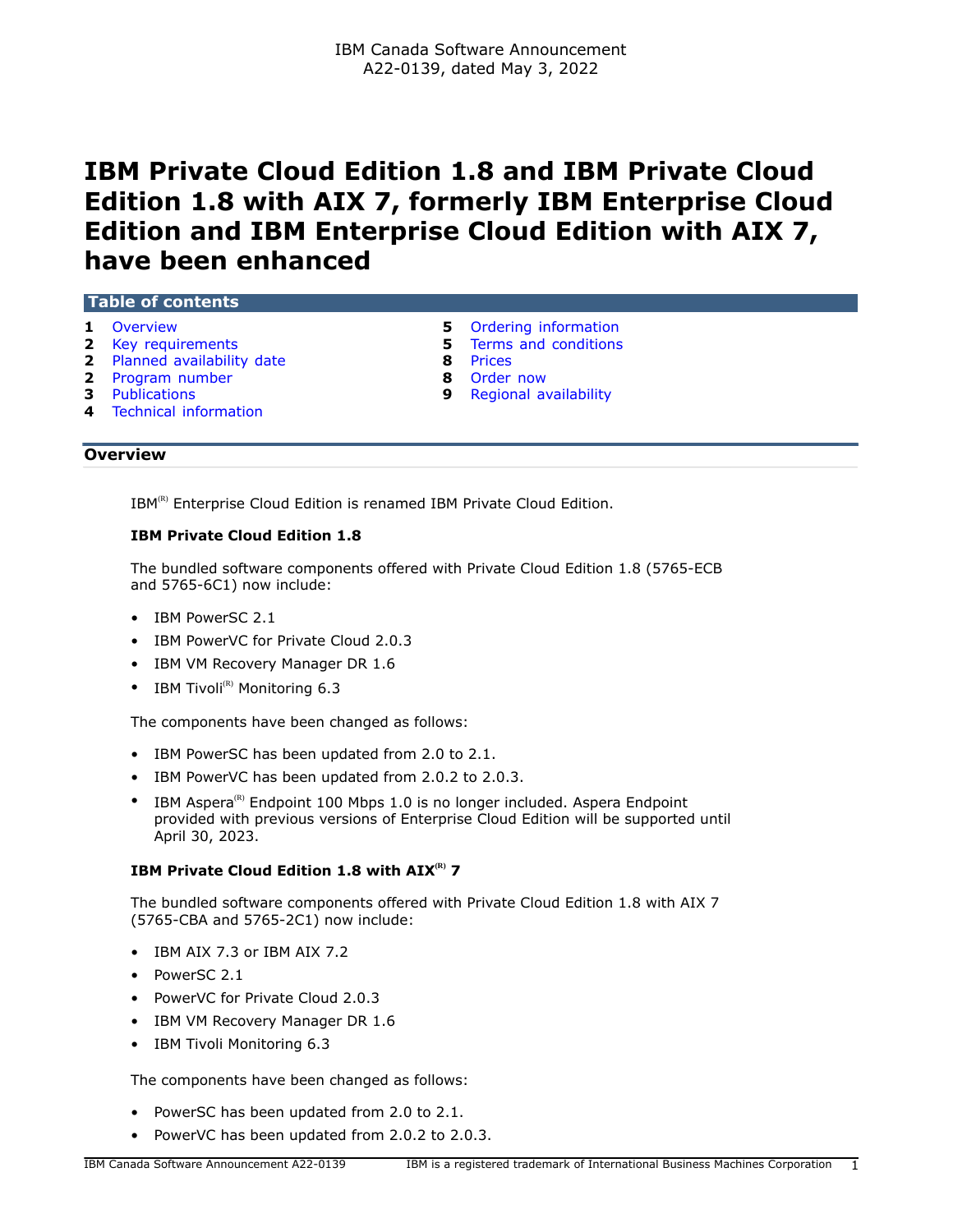# **IBM Private Cloud Edition 1.8 and IBM Private Cloud Edition 1.8 with AIX 7, formerly IBM Enterprise Cloud Edition and IBM Enterprise Cloud Edition with AIX 7, have been enhanced**

### **Table of contents**

- 
- 
- **2** [Planned availability date](#page-1-1) **8** [Prices](#page-7-0)
- **2** [Program number](#page-1-2) **8** [Order now](#page-7-1)
- 
- **4** [Technical information](#page-3-0)
- 
- **1** [Overview](#page-0-0) **1** Overview **1** Overview **5** [Ordering information](#page-4-0) **1** Overview **5** Ordering information **5** [Terms and conditions](#page-4-1)
	-
	-
- **3** [Publications](#page-2-0) **9** [Regional availability](#page-8-0)

### <span id="page-0-0"></span>**Overview**

IBM<sup>(R)</sup> Enterprise Cloud Edition is renamed IBM Private Cloud Edition.

# **IBM Private Cloud Edition 1.8**

The bundled software components offered with Private Cloud Edition 1.8 (5765-ECB and 5765-6C1) now include:

- IBM PowerSC 2.1
- IBM PowerVC for Private Cloud 2.0.3
- IBM VM Recovery Manager DR 1.6
- IBM Tivoli $^{(R)}$  Monitoring 6.3

The components have been changed as follows:

- IBM PowerSC has been updated from 2.0 to 2.1.
- IBM PowerVC has been updated from 2.0.2 to 2.0.3.
- IBM Aspera<sup>(R)</sup> Endpoint 100 Mbps 1.0 is no longer included. Aspera Endpoint provided with previous versions of Enterprise Cloud Edition will be supported until April 30, 2023.

# **IBM Private Cloud Edition 1.8 with AIX(R) 7**

The bundled software components offered with Private Cloud Edition 1.8 with AIX 7 (5765-CBA and 5765-2C1) now include:

- IBM AIX 7.3 or IBM AIX 7.2
- PowerSC 2.1
- PowerVC for Private Cloud 2.0.3
- IBM VM Recovery Manager DR 1.6
- IBM Tivoli Monitoring 6.3

The components have been changed as follows:

- PowerSC has been updated from 2.0 to 2.1.
- PowerVC has been updated from 2.0.2 to 2.0.3.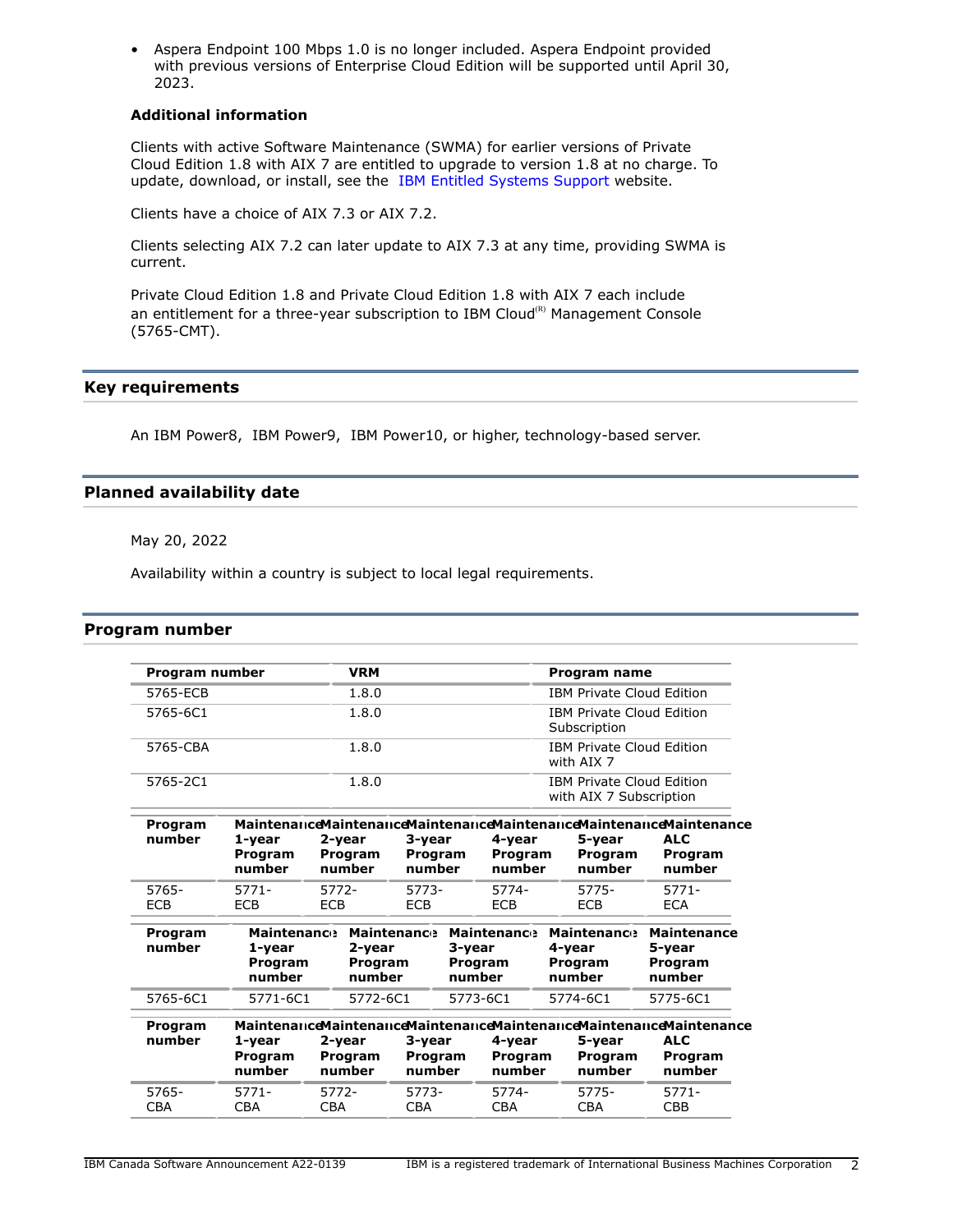• Aspera Endpoint 100 Mbps 1.0 is no longer included. Aspera Endpoint provided with previous versions of Enterprise Cloud Edition will be supported until April 30, 2023.

### **Additional information**

Clients with active Software Maintenance (SWMA) for earlier versions of Private Cloud Edition 1.8 with AIX 7 are entitled to upgrade to version 1.8 at no charge. To update, download, or install, see the [IBM Entitled Systems Support](https://www.ibm.com/servers/eserver/ess/index.wss) website.

Clients have a choice of AIX 7.3 or AIX 7.2.

Clients selecting AIX 7.2 can later update to AIX 7.3 at any time, providing SWMA is current.

Private Cloud Edition 1.8 and Private Cloud Edition 1.8 with AIX 7 each include an entitlement for a three-year subscription to IBM Cloud ${}^{\textrm{\tiny(R)}}$  Management Console (5765-CMT).

### <span id="page-1-0"></span>**Key requirements**

An IBM Power8, IBM Power9, IBM Power10, or higher, technology-based server.

# <span id="page-1-1"></span>**Planned availability date**

May 20, 2022

Availability within a country is subject to local legal requirements.

#### <span id="page-1-2"></span>**Program number**

| Program number                                                       | <b>VRM</b>                                                                                                    |                                                  |            |                                                                              |                                              | <b>Program name</b>                    |                                                                                                                                                                                                                                                        |
|----------------------------------------------------------------------|---------------------------------------------------------------------------------------------------------------|--------------------------------------------------|------------|------------------------------------------------------------------------------|----------------------------------------------|----------------------------------------|--------------------------------------------------------------------------------------------------------------------------------------------------------------------------------------------------------------------------------------------------------|
|                                                                      | 1.8.0                                                                                                         |                                                  |            |                                                                              |                                              |                                        |                                                                                                                                                                                                                                                        |
|                                                                      |                                                                                                               | <b>IBM Private Cloud Edition</b><br>Subscription |            |                                                                              |                                              |                                        |                                                                                                                                                                                                                                                        |
| 1.8.0                                                                |                                                                                                               |                                                  |            | <b>IBM Private Cloud Edition</b><br>with AIX 7                               |                                              |                                        |                                                                                                                                                                                                                                                        |
| 1.8.0<br><b>IBM Private Cloud Edition</b><br>with AIX 7 Subscription |                                                                                                               |                                                  |            |                                                                              |                                              |                                        |                                                                                                                                                                                                                                                        |
| 1-year                                                               | 2-year                                                                                                        |                                                  |            | 4-year                                                                       |                                              | 5-year                                 | <b>ALC</b>                                                                                                                                                                                                                                             |
| Program<br>number                                                    | Program<br>number                                                                                             |                                                  |            |                                                                              |                                              | Program<br>number                      | Program<br>number                                                                                                                                                                                                                                      |
| $5771 -$                                                             | 5772-                                                                                                         |                                                  |            | 5774-                                                                        |                                              | 5775-                                  | $5771 -$                                                                                                                                                                                                                                               |
| <b>ECB</b>                                                           | <b>ECB</b>                                                                                                    | <b>ECB</b>                                       |            | <b>ECB</b>                                                                   |                                              | <b>ECB</b>                             | <b>ECA</b>                                                                                                                                                                                                                                             |
| 1-year<br>Program<br>number                                          | <b>Maintenance</b><br><b>Maintenance</b><br>2-year<br>3-year<br><b>Program</b><br>Program<br>number<br>number |                                                  |            |                                                                              |                                              |                                        | <b>Maintenance</b><br>5-year<br>Program<br>number                                                                                                                                                                                                      |
| 5771-6C1                                                             | 5772-6C1                                                                                                      |                                                  | 5774-6C1   |                                                                              | 5775-6C1                                     |                                        |                                                                                                                                                                                                                                                        |
| 1-year<br>Program<br>number                                          | 2-year<br>Program<br>number                                                                                   |                                                  |            | 4-year                                                                       |                                              | 5-year<br>Program<br>number            | <b>ALC</b><br>Program<br>number                                                                                                                                                                                                                        |
| $5771 -$                                                             | 5772-                                                                                                         |                                                  |            | 5774-                                                                        |                                              | $5775-$                                | 5771-<br><b>CBB</b>                                                                                                                                                                                                                                    |
|                                                                      | <b>CBA</b>                                                                                                    | 1.8.0<br><b>CBA</b>                              | <b>CBA</b> | 3-year<br>Program<br>number<br>5773-<br>3-year<br>Program<br>number<br>5773- | <b>Maintenance</b><br>5773-6C1<br><b>CBA</b> | Program<br>number<br>Program<br>number | <b>IBM Private Cloud Edition</b><br><b>MaintenanceMaintenanceMaintenanceMaintenanceMaintenanceMaintenance</b><br><b>Maintenance</b><br>4-year<br>Program<br>number<br>MaintenanceMaintenanceMaintenanceMaintenanceMaintenanceMaintenance<br><b>CBA</b> |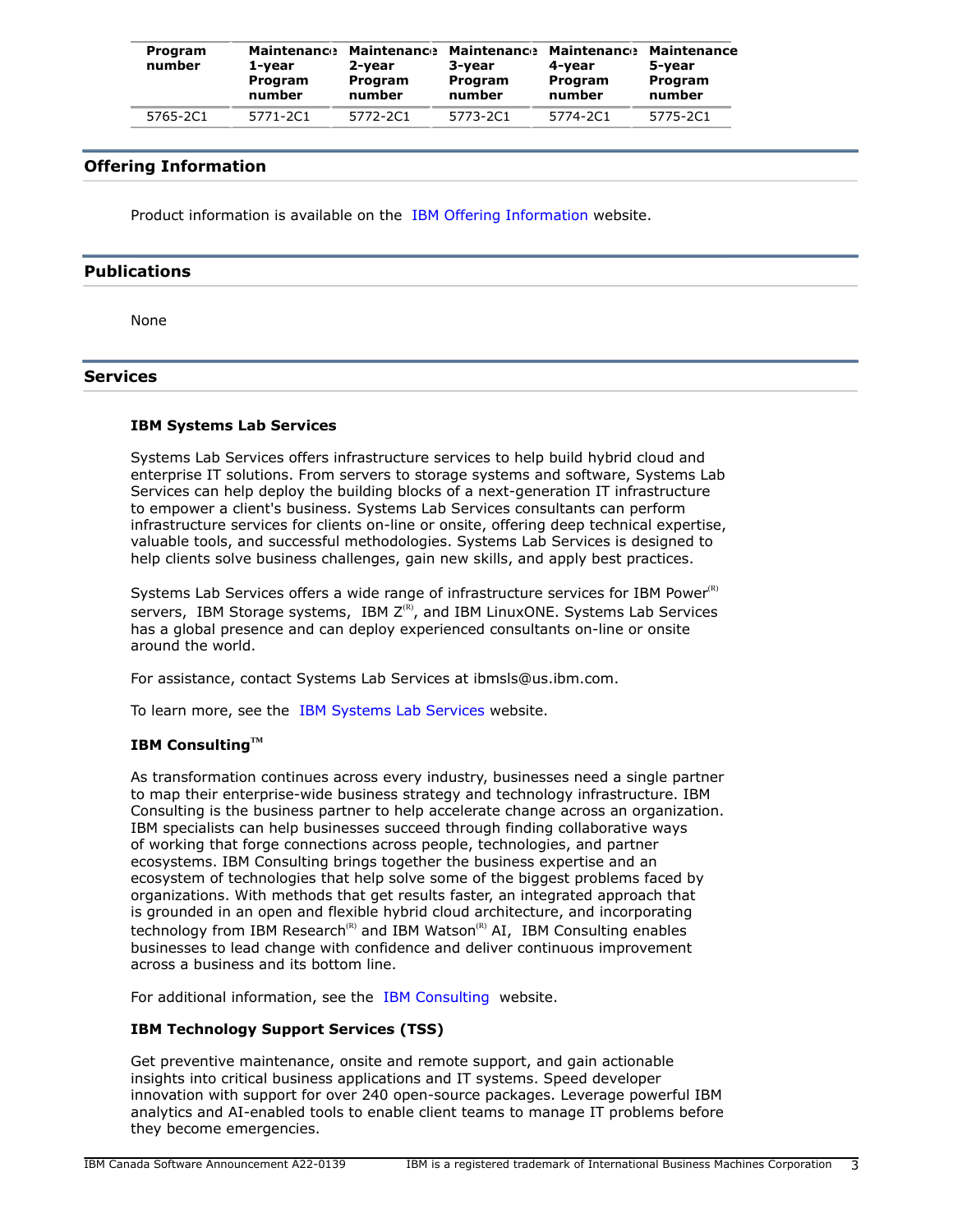| Program<br>number | 1-vear<br>Program<br>number | <b>Maintenance Maintenance</b><br>2-vear<br>Program<br>number | 3-vear<br>Program<br>number | <b>Maintenance Maintenance</b><br>4-vear<br>Program<br>number | Maintenance<br>5-vear<br>Program<br>number |
|-------------------|-----------------------------|---------------------------------------------------------------|-----------------------------|---------------------------------------------------------------|--------------------------------------------|
| 5765-2C1          | 5771-2C1                    | 5772-2C1                                                      | 5773-2C1                    | 5774-201                                                      | 5775-2C1                                   |

# **Offering Information**

Product information is available on the [IBM Offering Information](http://www.ibm.com/common/ssi) website.

# <span id="page-2-0"></span>**Publications**

None

### **Services**

#### **IBM Systems Lab Services**

Systems Lab Services offers infrastructure services to help build hybrid cloud and enterprise IT solutions. From servers to storage systems and software, Systems Lab Services can help deploy the building blocks of a next-generation IT infrastructure to empower a client's business. Systems Lab Services consultants can perform infrastructure services for clients on-line or onsite, offering deep technical expertise, valuable tools, and successful methodologies. Systems Lab Services is designed to help clients solve business challenges, gain new skills, and apply best practices.

Systems Lab Services offers a wide range of infrastructure services for IBM Power $R$ ) servers, IBM Storage systems, IBM  $Z^{(R)}$ , and IBM LinuxONE. Systems Lab Services has a global presence and can deploy experienced consultants on-line or onsite around the world.

For assistance, contact Systems Lab Services at ibmsls@us.ibm.com.

To learn more, see the [IBM Systems Lab Services](https://www.ibm.com/it-infrastructure/services/lab-services) website.

### **IBM ConsultingTM**

As transformation continues across every industry, businesses need a single partner to map their enterprise-wide business strategy and technology infrastructure. IBM Consulting is the business partner to help accelerate change across an organization. IBM specialists can help businesses succeed through finding collaborative ways of working that forge connections across people, technologies, and partner ecosystems. IBM Consulting brings together the business expertise and an ecosystem of technologies that help solve some of the biggest problems faced by organizations. With methods that get results faster, an integrated approach that is grounded in an open and flexible hybrid cloud architecture, and incorporating technology from IBM Research<sup>(R)</sup> and IBM Watson<sup>(R)</sup> AI, IBM Consulting enables businesses to lead change with confidence and deliver continuous improvement across a business and its bottom line.

For additional information, see the [IBM Consulting](https://www.ibm.com/consulting) website.

# **IBM Technology Support Services (TSS)**

Get preventive maintenance, onsite and remote support, and gain actionable insights into critical business applications and IT systems. Speed developer innovation with support for over 240 open-source packages. Leverage powerful IBM analytics and AI-enabled tools to enable client teams to manage IT problems before they become emergencies.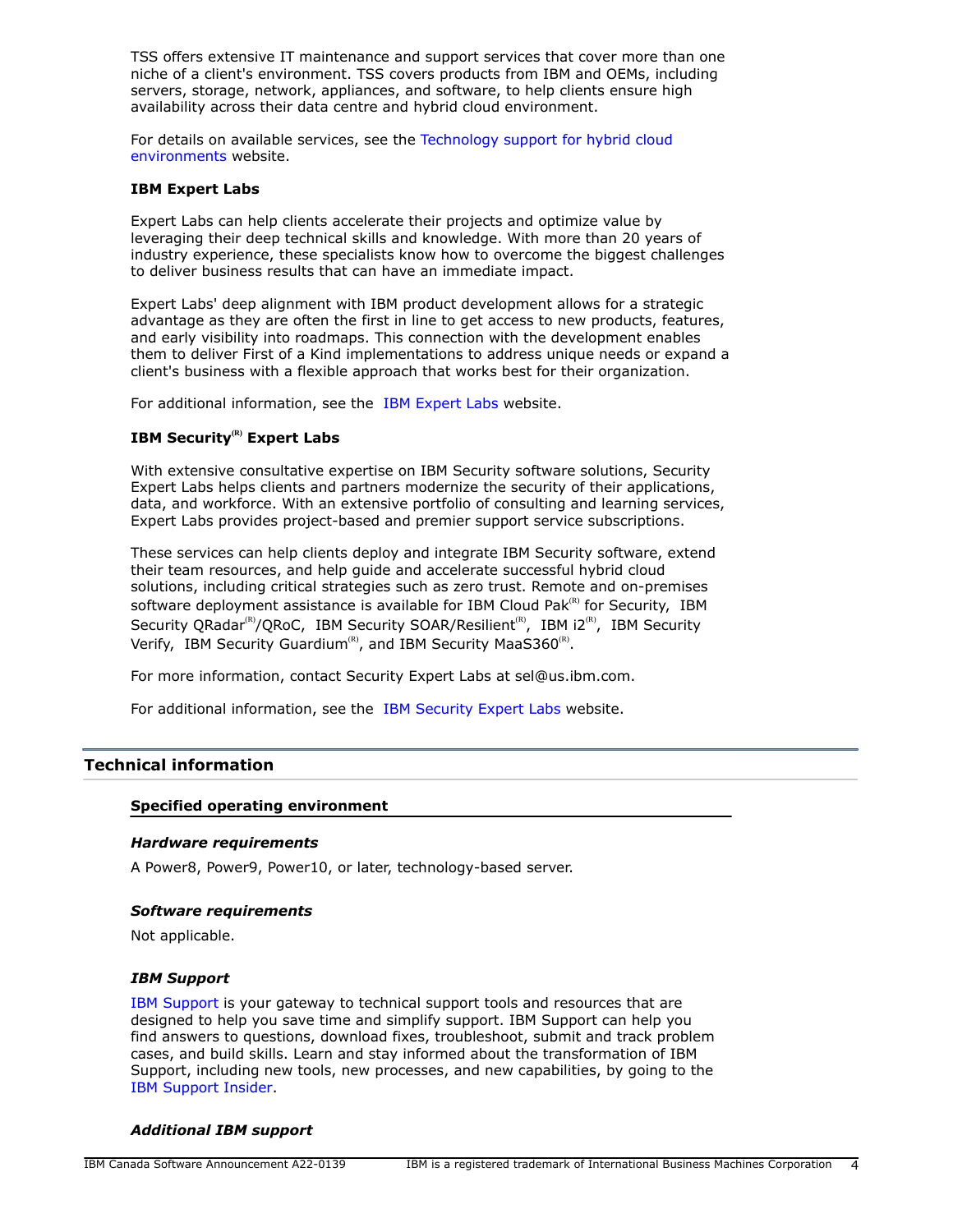TSS offers extensive IT maintenance and support services that cover more than one niche of a client's environment. TSS covers products from IBM and OEMs, including servers, storage, network, appliances, and software, to help clients ensure high availability across their data centre and hybrid cloud environment.

For details on available services, see the [Technology support for hybrid cloud](https://www.ibm.com/services/technology-support) [environments](https://www.ibm.com/services/technology-support) website.

#### **IBM Expert Labs**

Expert Labs can help clients accelerate their projects and optimize value by leveraging their deep technical skills and knowledge. With more than 20 years of industry experience, these specialists know how to overcome the biggest challenges to deliver business results that can have an immediate impact.

Expert Labs' deep alignment with IBM product development allows for a strategic advantage as they are often the first in line to get access to new products, features, and early visibility into roadmaps. This connection with the development enables them to deliver First of a Kind implementations to address unique needs or expand a client's business with a flexible approach that works best for their organization.

For additional information, see the [IBM Expert Labs](https://www.ibm.com/products/expertlabs) website.

# **IBM Security(R) Expert Labs**

With extensive consultative expertise on IBM Security software solutions, Security Expert Labs helps clients and partners modernize the security of their applications, data, and workforce. With an extensive portfolio of consulting and learning services, Expert Labs provides project-based and premier support service subscriptions.

These services can help clients deploy and integrate IBM Security software, extend their team resources, and help guide and accelerate successful hybrid cloud solutions, including critical strategies such as zero trust. Remote and on-premises software deployment assistance is available for IBM Cloud Pak $R$ <sup>(R)</sup> for Security, IBM Security QRadar<sup>(R)</sup>/QRoC, IBM Security SOAR/Resilient<sup>(R)</sup>, IBM i2<sup>(R)</sup>, IBM Security Verify, IBM Security Guardium<sup>(R)</sup>, and IBM Security MaaS360<sup>(R)</sup>.

For more information, contact Security Expert Labs at sel@us.ibm.com.

For additional information, see the [IBM Security Expert Labs](https://www.ibm.com/security/security-expert-labs) website.

# <span id="page-3-0"></span>**Technical information**

# **Specified operating environment**

#### *Hardware requirements*

A Power8, Power9, Power10, or later, technology-based server.

#### *Software requirements*

Not applicable.

#### *IBM Support*

[IBM Support](https://www.ibm.com/support) is your gateway to technical support tools and resources that are designed to help you save time and simplify support. IBM Support can help you find answers to questions, download fixes, troubleshoot, submit and track problem cases, and build skills. Learn and stay informed about the transformation of IBM Support, including new tools, new processes, and new capabilities, by going to the [IBM Support Insider](https://www.ibm.com/support/insider).

#### *Additional IBM support*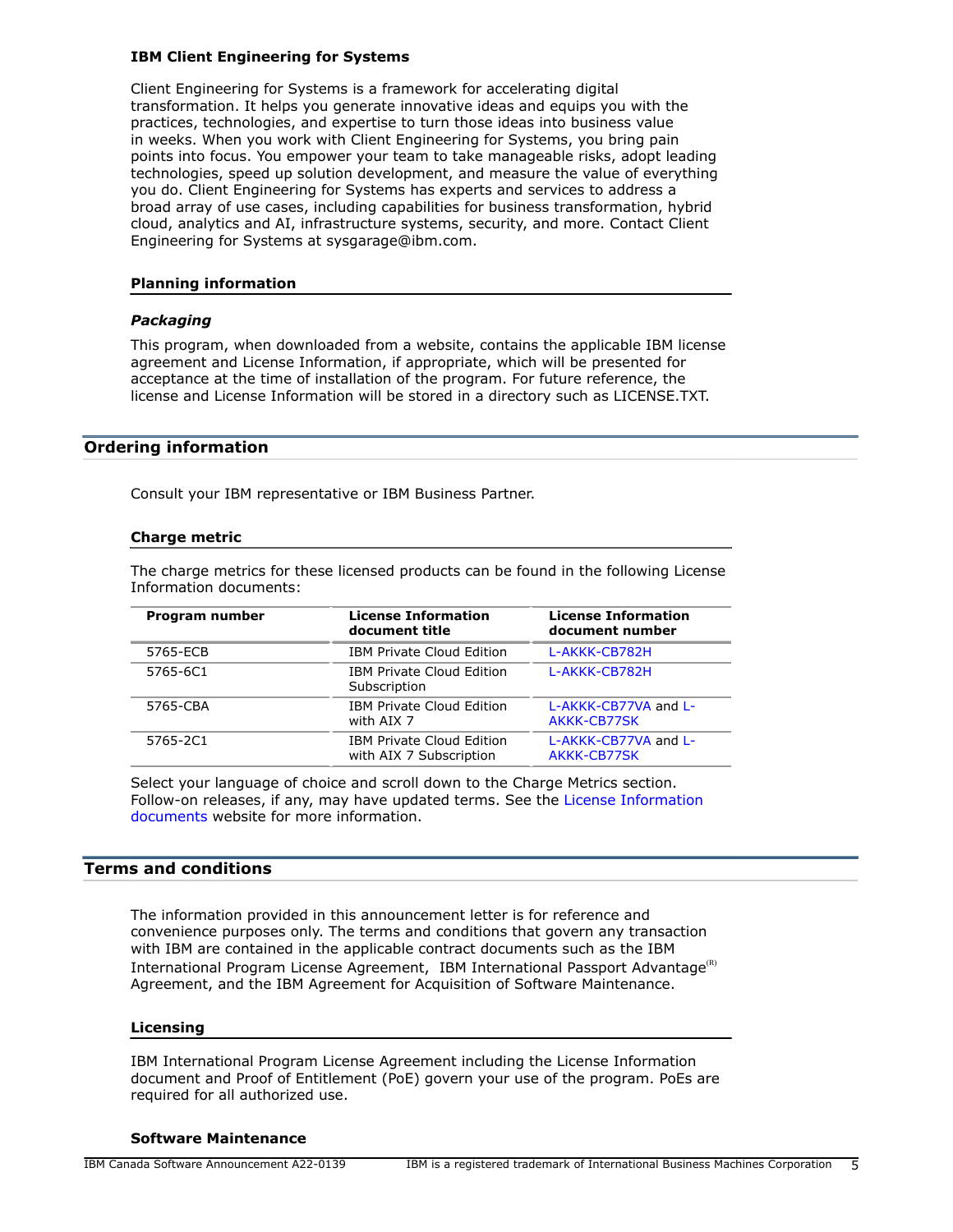### **IBM Client Engineering for Systems**

Client Engineering for Systems is a framework for accelerating digital transformation. It helps you generate innovative ideas and equips you with the practices, technologies, and expertise to turn those ideas into business value in weeks. When you work with Client Engineering for Systems, you bring pain points into focus. You empower your team to take manageable risks, adopt leading technologies, speed up solution development, and measure the value of everything you do. Client Engineering for Systems has experts and services to address a broad array of use cases, including capabilities for business transformation, hybrid cloud, analytics and AI, infrastructure systems, security, and more. Contact Client Engineering for Systems at sysgarage@ibm.com.

# **Planning information**

#### *Packaging*

This program, when downloaded from a website, contains the applicable IBM license agreement and License Information, if appropriate, which will be presented for acceptance at the time of installation of the program. For future reference, the license and License Information will be stored in a directory such as LICENSE.TXT.

#### <span id="page-4-0"></span>**Ordering information**

Consult your IBM representative or IBM Business Partner.

#### **Charge metric**

The charge metrics for these licensed products can be found in the following License Information documents:

| Program number | <b>License Information</b><br>document title                | <b>License Information</b><br>document number |
|----------------|-------------------------------------------------------------|-----------------------------------------------|
| 5765-ECB       | <b>IBM Private Cloud Edition</b>                            | L-AKKK-CB782H                                 |
| 5765-6C1       | <b>IBM Private Cloud Edition</b><br>Subscription            | L-AKKK-CB782H                                 |
| 5765-CBA       | <b>IBM Private Cloud Edition</b><br>with AIX 7              | L-AKKK-CB77VA and L-<br>AKKK-CB77SK           |
| 5765-2C1       | <b>IBM Private Cloud Edition</b><br>with AIX 7 Subscription | L-AKKK-CB77VA and L-<br>AKKK-CB77SK           |

Select your language of choice and scroll down to the Charge Metrics section. Follow-on releases, if any, may have updated terms. See the [License Information](https://www.ibm.com/software/sla/sladb.nsf/search?OpenForm) [documents](https://www.ibm.com/software/sla/sladb.nsf/search?OpenForm) website for more information.

# <span id="page-4-1"></span>**Terms and conditions**

The information provided in this announcement letter is for reference and convenience purposes only. The terms and conditions that govern any transaction with IBM are contained in the applicable contract documents such as the IBM International Program License Agreement, IBM International Passport Advantage<sup>(R)</sup> Agreement, and the IBM Agreement for Acquisition of Software Maintenance.

#### **Licensing**

IBM International Program License Agreement including the License Information document and Proof of Entitlement (PoE) govern your use of the program. PoEs are required for all authorized use.

#### **Software Maintenance**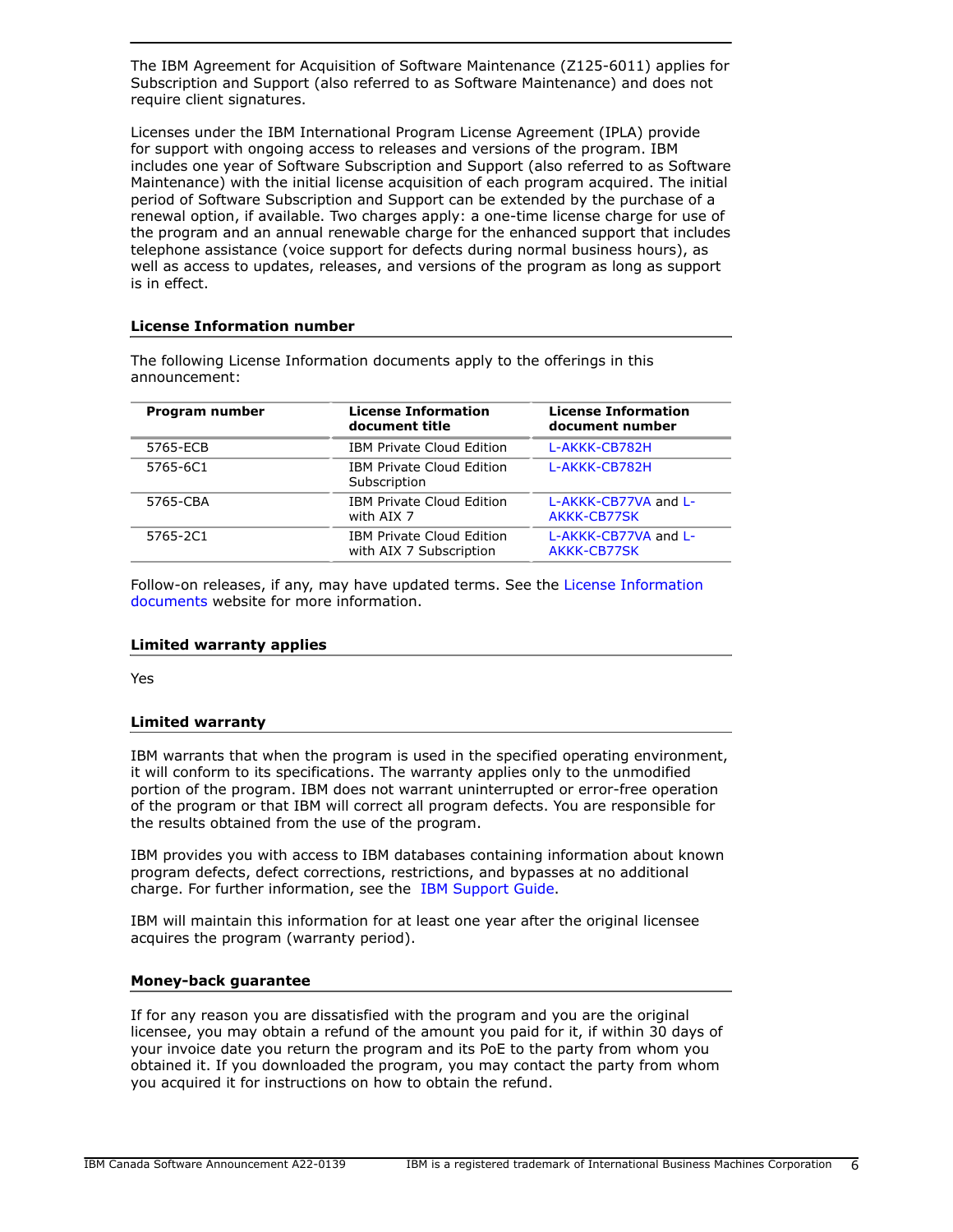The IBM Agreement for Acquisition of Software Maintenance (Z125-6011) applies for Subscription and Support (also referred to as Software Maintenance) and does not require client signatures.

Licenses under the IBM International Program License Agreement (IPLA) provide for support with ongoing access to releases and versions of the program. IBM includes one year of Software Subscription and Support (also referred to as Software Maintenance) with the initial license acquisition of each program acquired. The initial period of Software Subscription and Support can be extended by the purchase of a renewal option, if available. Two charges apply: a one-time license charge for use of the program and an annual renewable charge for the enhanced support that includes telephone assistance (voice support for defects during normal business hours), as well as access to updates, releases, and versions of the program as long as support is in effect.

# **License Information number**

The following License Information documents apply to the offerings in this announcement:

| Program number | <b>License Information</b><br>document title                | <b>License Information</b><br>document number<br>L-AKKK-CB782H |  |
|----------------|-------------------------------------------------------------|----------------------------------------------------------------|--|
| 5765-ECB       | IBM Private Cloud Edition                                   |                                                                |  |
| 5765-6C1       | IBM Private Cloud Edition<br>Subscription                   | L-AKKK-CB782H                                                  |  |
| 5765-CBA       | IBM Private Cloud Edition<br>with AIX 7                     | L-AKKK-CB77VA and L-<br>AKKK-CB77SK                            |  |
| 5765-2C1       | <b>IBM Private Cloud Edition</b><br>with AIX 7 Subscription | L-AKKK-CB77VA and L-<br>AKKK-CB77SK                            |  |

Follow-on releases, if any, may have updated terms. See the [License Information](https://www.ibm.com/software/sla/sladb.nsf/search?OpenForm) [documents](https://www.ibm.com/software/sla/sladb.nsf/search?OpenForm) website for more information.

# **Limited warranty applies**

Yes

# **Limited warranty**

IBM warrants that when the program is used in the specified operating environment, it will conform to its specifications. The warranty applies only to the unmodified portion of the program. IBM does not warrant uninterrupted or error-free operation of the program or that IBM will correct all program defects. You are responsible for the results obtained from the use of the program.

IBM provides you with access to IBM databases containing information about known program defects, defect corrections, restrictions, and bypasses at no additional charge. For further information, see the [IBM Support Guide](http://www.ibm.com/support/customercare/sas/f/handbook/home.html).

IBM will maintain this information for at least one year after the original licensee acquires the program (warranty period).

# **Money-back guarantee**

If for any reason you are dissatisfied with the program and you are the original licensee, you may obtain a refund of the amount you paid for it, if within 30 days of your invoice date you return the program and its PoE to the party from whom you obtained it. If you downloaded the program, you may contact the party from whom you acquired it for instructions on how to obtain the refund.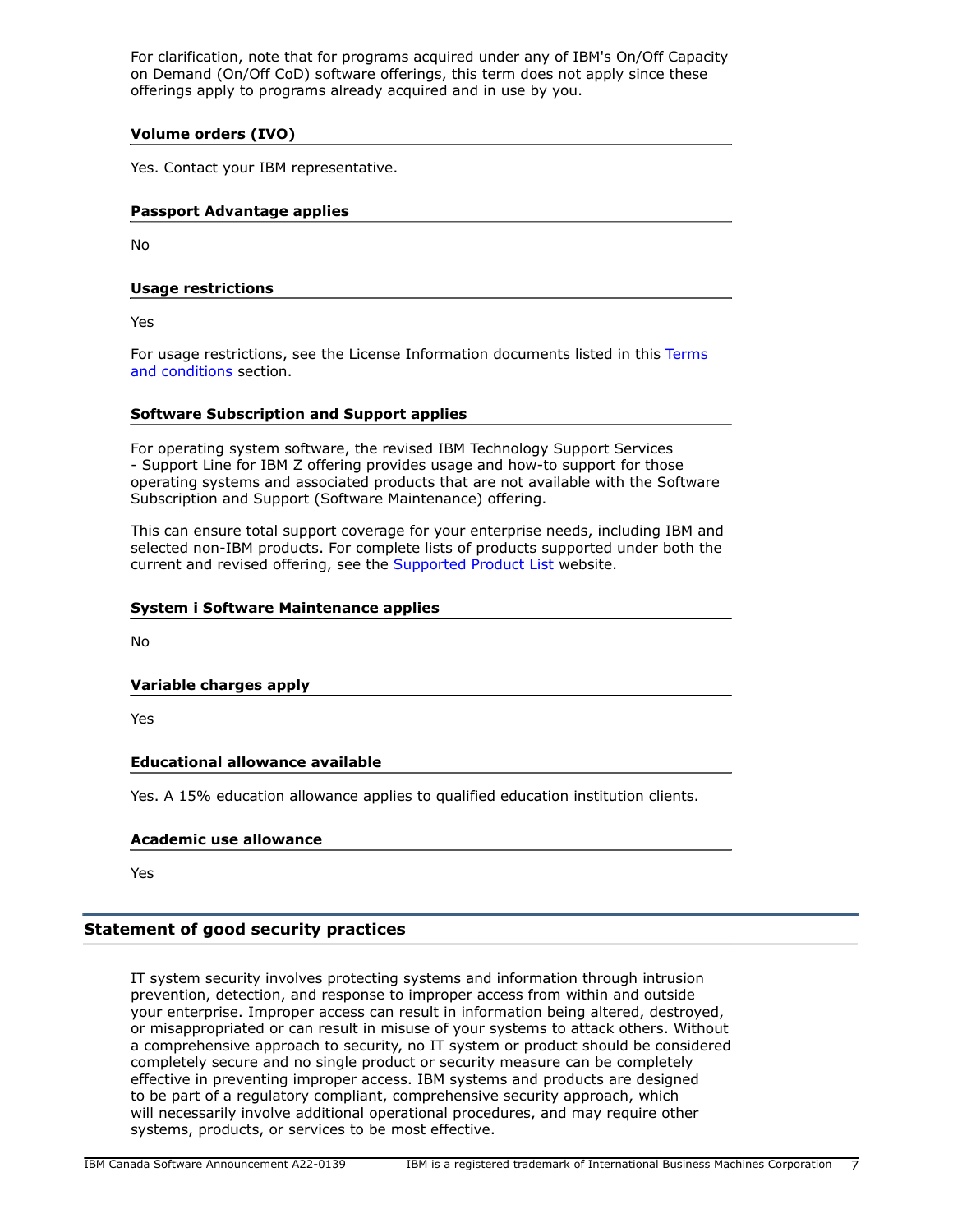For clarification, note that for programs acquired under any of IBM's On/Off Capacity on Demand (On/Off CoD) software offerings, this term does not apply since these offerings apply to programs already acquired and in use by you.

# **Volume orders (IVO)**

Yes. Contact your IBM representative.

# **Passport Advantage applies**

No

# **Usage restrictions**

Yes

For usage restrictions, see the License Information documents listed in this [Terms](#page-4-1) [and conditions](#page-4-1) section.

# **Software Subscription and Support applies**

For operating system software, the revised IBM Technology Support Services - Support Line for IBM Z offering provides usage and how-to support for those operating systems and associated products that are not available with the Software Subscription and Support (Software Maintenance) offering.

This can ensure total support coverage for your enterprise needs, including IBM and selected non-IBM products. For complete lists of products supported under both the current and revised offering, see the [Supported Product List](http://www-03.ibm.com/services/supline/products/index.html) website.

### **System i Software Maintenance applies**

No

# **Variable charges apply**

Yes

# **Educational allowance available**

Yes. A 15% education allowance applies to qualified education institution clients.

#### **Academic use allowance**

Yes

# **Statement of good security practices**

IT system security involves protecting systems and information through intrusion prevention, detection, and response to improper access from within and outside your enterprise. Improper access can result in information being altered, destroyed, or misappropriated or can result in misuse of your systems to attack others. Without a comprehensive approach to security, no IT system or product should be considered completely secure and no single product or security measure can be completely effective in preventing improper access. IBM systems and products are designed to be part of a regulatory compliant, comprehensive security approach, which will necessarily involve additional operational procedures, and may require other systems, products, or services to be most effective.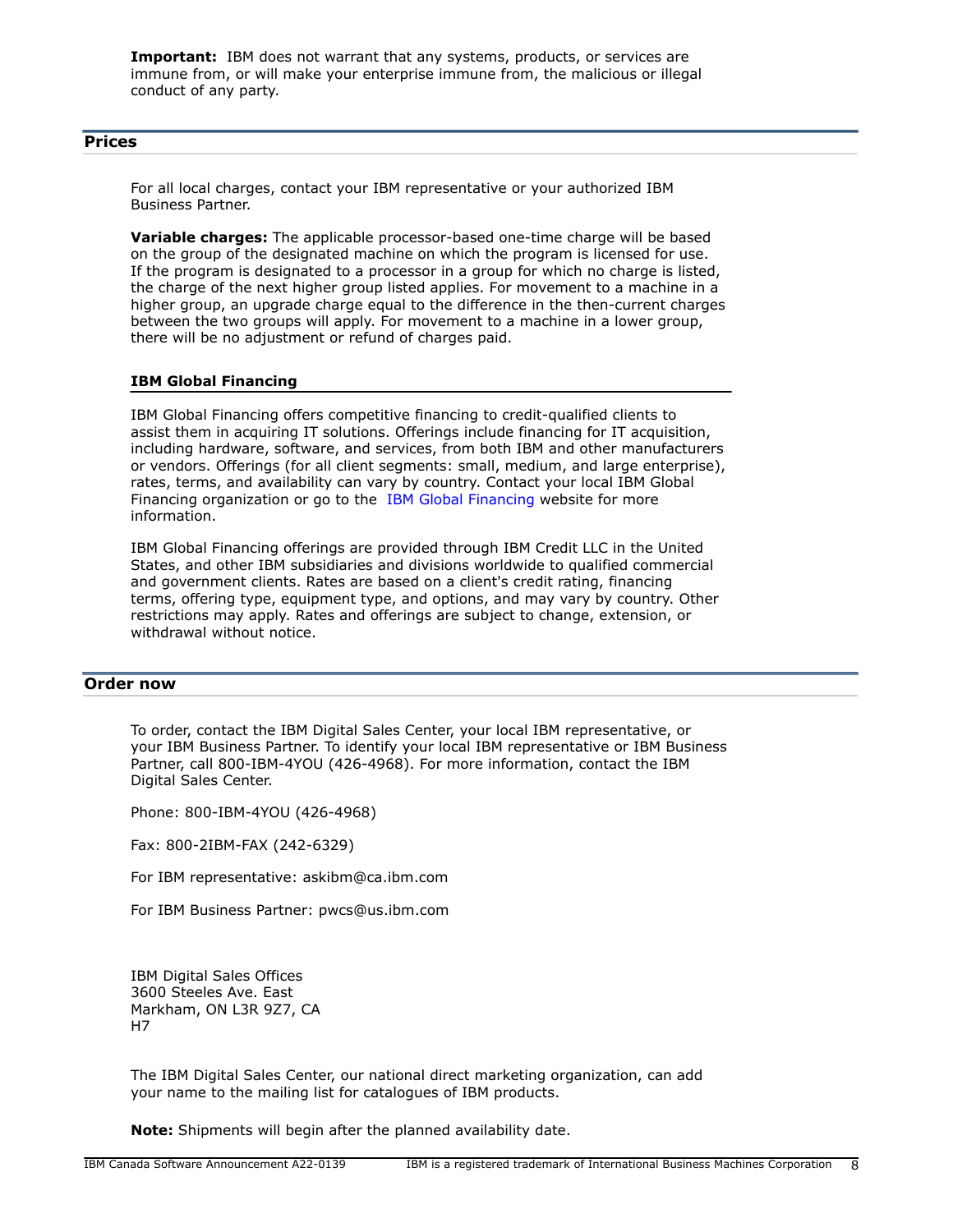**Important:** IBM does not warrant that any systems, products, or services are immune from, or will make your enterprise immune from, the malicious or illegal conduct of any party.

### <span id="page-7-0"></span>**Prices**

For all local charges, contact your IBM representative or your authorized IBM Business Partner.

**Variable charges:** The applicable processor-based one-time charge will be based on the group of the designated machine on which the program is licensed for use. If the program is designated to a processor in a group for which no charge is listed, the charge of the next higher group listed applies. For movement to a machine in a higher group, an upgrade charge equal to the difference in the then-current charges between the two groups will apply. For movement to a machine in a lower group, there will be no adjustment or refund of charges paid.

# **IBM Global Financing**

IBM Global Financing offers competitive financing to credit-qualified clients to assist them in acquiring IT solutions. Offerings include financing for IT acquisition, including hardware, software, and services, from both IBM and other manufacturers or vendors. Offerings (for all client segments: small, medium, and large enterprise), rates, terms, and availability can vary by country. Contact your local IBM Global Financing organization or go to the [IBM Global Financing](http://www.ibm.com/financing) website for more information.

IBM Global Financing offerings are provided through IBM Credit LLC in the United States, and other IBM subsidiaries and divisions worldwide to qualified commercial and government clients. Rates are based on a client's credit rating, financing terms, offering type, equipment type, and options, and may vary by country. Other restrictions may apply. Rates and offerings are subject to change, extension, or withdrawal without notice.

# <span id="page-7-1"></span>**Order now**

To order, contact the IBM Digital Sales Center, your local IBM representative, or your IBM Business Partner. To identify your local IBM representative or IBM Business Partner, call 800-IBM-4YOU (426-4968). For more information, contact the IBM Digital Sales Center.

Phone: 800-IBM-4YOU (426-4968)

Fax: 800-2IBM-FAX (242-6329)

For IBM representative: askibm@ca.ibm.com

For IBM Business Partner: pwcs@us.ibm.com

IBM Digital Sales Offices 3600 Steeles Ave. East Markham, ON L3R 9Z7, CA H7

The IBM Digital Sales Center, our national direct marketing organization, can add your name to the mailing list for catalogues of IBM products.

**Note:** Shipments will begin after the planned availability date.